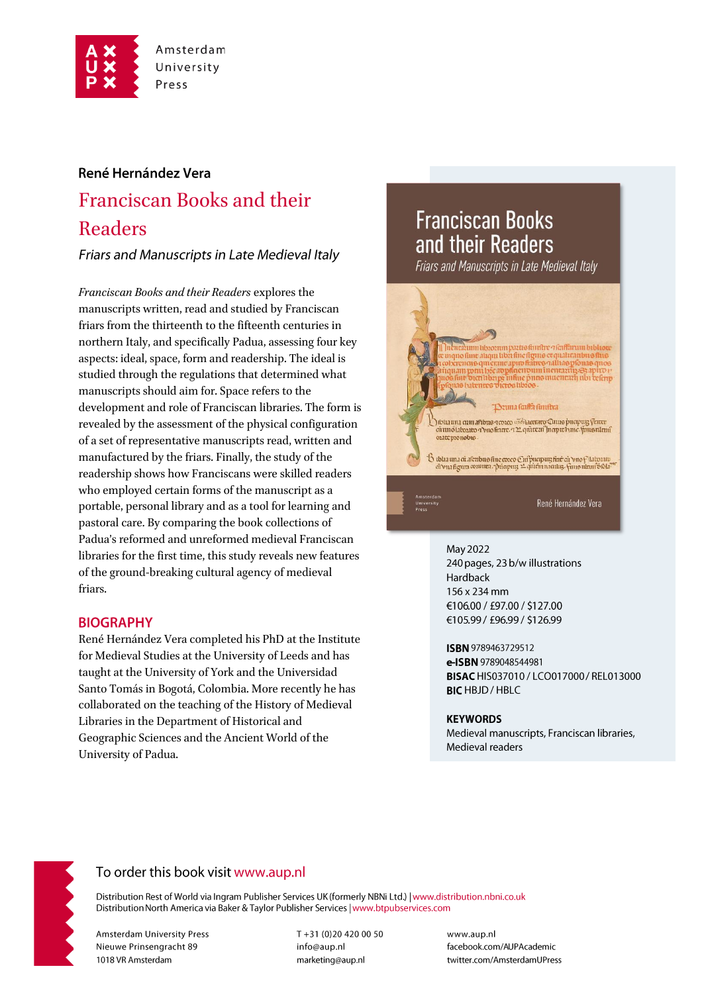

## René Hernández Vera

# **Franciscan Books and their** Readers

Friars and Manuscripts in Late Medieval Italy

Franciscan Books and their Readers explores the manuscripts written, read and studied by Franciscan friars from the thirteenth to the fifteenth centuries in northern Italy, and specifically Padua, assessing four key aspects: ideal, space, form and readership. The ideal is studied through the regulations that determined what manuscripts should aim for. Space refers to the development and role of Franciscan libraries. The form is revealed by the assessment of the physical configuration of a set of representative manuscripts read, written and manufactured by the friars. Finally, the study of the readership shows how Franciscans were skilled readers who employed certain forms of the manuscript as a portable, personal library and as a tool for learning and pastoral care. By comparing the book collections of Padua's reformed and unreformed medieval Franciscan libraries for the first time, this study reveals new features of the ground-breaking cultural agency of medieval friars.

### **BIOGRAPHY**

René Hernández Vera completed his PhD at the Institute for Medieval Studies at the University of Leeds and has taught at the University of York and the Universidad Santo Tomás in Bogotá, Colombia. More recently he has collaborated on the teaching of the History of Medieval Libraries in the Department of Historical and Geographic Sciences and the Ancient World of the University of Padua.

## **Franciscan Books** and their Readers

Friars and Manuscripts in Late Medieval Italy



#### May 2022

240 pages, 23 b/w illustrations Hardback 156 x 234 mm €106.00 / £97.00 / \$127.00 €105.99 / £96.99 / \$126.99

ISBN 9789463729512 e-ISBN 9789048544981 BISAC HIS037010 / LCO017000 / REL013000 **BICHBJD/HBLC** 

#### **KEYWORDS**

Medieval manuscripts, Franciscan libraries, Medieval readers



## To order this book visit www.aup.nl

Distribution Rest of World via Ingram Publisher Services UK (formerly NBNi Ltd.) | www.distribution.nbni.co.uk Distribution North America via Baker & Taylor Publisher Services | www.btpubservices.com

**Amsterdam University Press** Nieuwe Prinsengracht 89 1018 VR Amsterdam

T+31 (0)20 420 00 50 info@aup.nl marketing@aup.nl

www.aup.nl facebook.com/AUPAcademic twitter.com/AmsterdamUPress